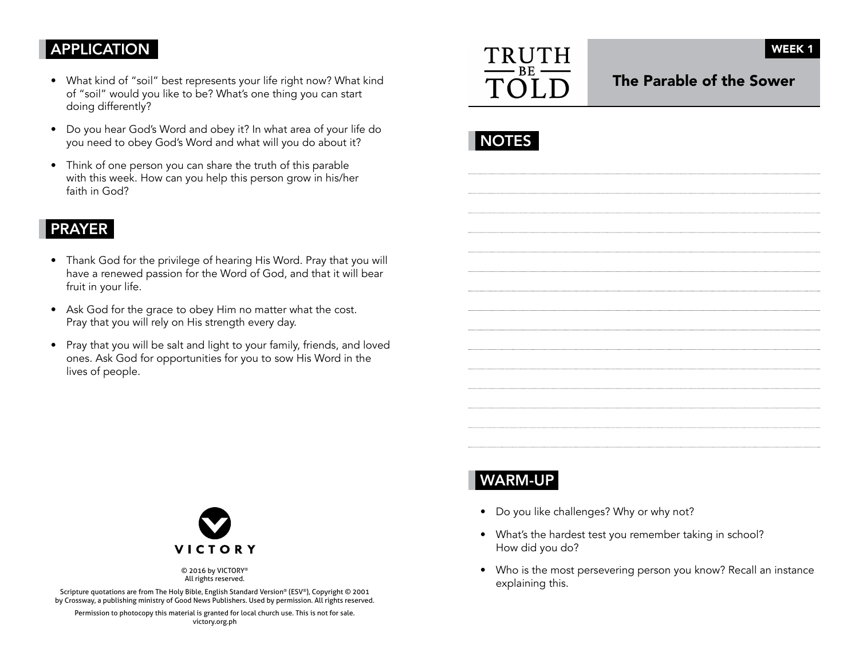# APPLICATION

- What kind of "soil" best represents your life right now? What kind of "soil" would you like to be? What's one thing you can start doing differently?
- Do you hear God's Word and obey it? In what area of your life do you need to obey God's Word and what will you do about it?
- Think of one person you can share the truth of this parable with this week. How can you help this person grow in his/her faith in God?

### PRAYER

- Thank God for the privilege of hearing His Word. Pray that you will have a renewed passion for the Word of God, and that it will bear fruit in your life.
- Ask God for the grace to obey Him no matter what the cost. Pray that you will rely on His strength every day.
- Pray that you will be salt and light to your family, friends, and loved ones. Ask God for opportunities for you to sow His Word in the lives of people.



The Parable of the Sower

|--|



© 2016 by VICTORY® All rights reserved.

Scripture quotations are from The Holy Bible, English Standard Version® (ESV®), Copyright © 2001 by Crossway, a publishing ministry of Good News Publishers. Used by permission. All rights reserved.

Permission to photocopy this material is granted for local church use. This is not for sale. victory.org.ph

# WARM-UP

- Do you like challenges? Why or why not?
- What's the hardest test you remember taking in school? How did you do?
- Who is the most persevering person you know? Recall an instance explaining this.

WEEK 1